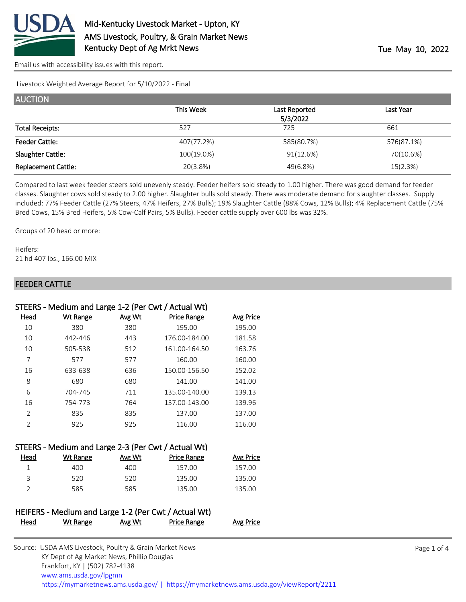

[Email us with accessibility issues with this report.](mailto:mars@ams.usda.gov?subject=508%20issue)

Livestock Weighted Average Report for 5/10/2022 - Final

| <b>AUCTION</b>             |            |               |            |
|----------------------------|------------|---------------|------------|
|                            | This Week  | Last Reported | Last Year  |
|                            |            | 5/3/2022      |            |
| <b>Total Receipts:</b>     | 527        | 725           | 661        |
| <b>Feeder Cattle:</b>      | 407(77.2%) | 585(80.7%)    | 576(87.1%) |
| Slaughter Cattle:          | 100(19.0%) | 91(12.6%)     | 70(10.6%)  |
| <b>Replacement Cattle:</b> | 20(3.8%)   | 49(6.8%)      | 15(2.3%)   |

Compared to last week feeder steers sold unevenly steady. Feeder heifers sold steady to 1.00 higher. There was good demand for feeder classes. Slaughter cows sold steady to 2.00 higher. Slaughter bulls sold steady. There was moderate demand for slaughter classes. Supply included: 77% Feeder Cattle (27% Steers, 47% Heifers, 27% Bulls); 19% Slaughter Cattle (88% Cows, 12% Bulls); 4% Replacement Cattle (75% Bred Cows, 15% Bred Heifers, 5% Cow-Calf Pairs, 5% Bulls). Feeder cattle supply over 600 lbs was 32%.

Groups of 20 head or more:

Heifers: 21 hd 407 lbs., 166.00 MIX

#### FEEDER CATTLE

|                | STEERS - Medium and Large 1-2 (Per Cwt / Actual Wt) |               |                    |                  |
|----------------|-----------------------------------------------------|---------------|--------------------|------------------|
| Head           | Wt Range                                            | <b>Avg Wt</b> | <b>Price Range</b> | <b>Avg Price</b> |
| 10             | 380                                                 | 380           | 195.00             | 195.00           |
| 10             | 442-446                                             | 443           | 176.00-184.00      | 181.58           |
| 10             | 505-538                                             | 512           | 161.00-164.50      | 163.76           |
| 7              | 577                                                 | 577           | 160.00             | 160.00           |
| 16             | 633-638                                             | 636           | 150.00-156.50      | 152.02           |
| 8              | 680                                                 | 680           | 141.00             | 141.00           |
| 6              | 704-745                                             | 711           | 135.00-140.00      | 139.13           |
| 16             | 754-773                                             | 764           | 137.00-143.00      | 139.96           |
| $\overline{2}$ | 835                                                 | 835           | 137.00             | 137.00           |
| 2              | 925                                                 | 925           | 116.00             | 116.00           |
|                |                                                     |               |                    |                  |

|      | STEERS - Medium and Large 2-3 (Per Cwt / Actual Wt) |        |             |                  |
|------|-----------------------------------------------------|--------|-------------|------------------|
| Head | Wt Range                                            | Avg Wt | Price Range | <b>Avg Price</b> |
|      | 400                                                 | 400    | 157.00      | 157.00           |
| ₹    | 520                                                 | 520    | 135.00      | 135.00           |
|      | 585                                                 | 585    | 135.00      | 135.00           |

|      | HEIFERS - Medium and Large 1-2 (Per Cwt / Actual Wt) |        |             |                  |
|------|------------------------------------------------------|--------|-------------|------------------|
| Head | Wt Range                                             | Avg Wt | Price Range | <b>Avg Price</b> |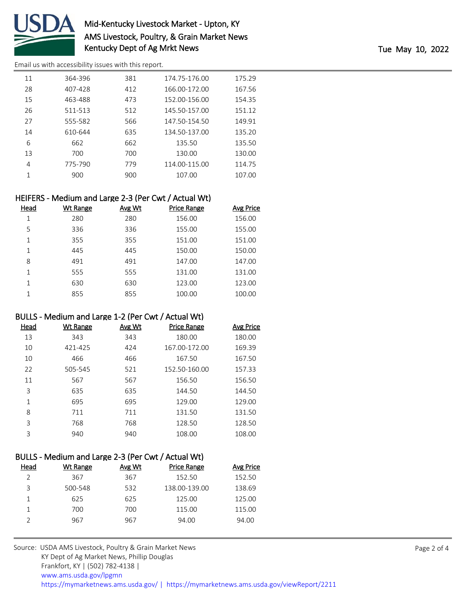

# Mid-Kentucky Livestock Market - Upton, KY AMS Livestock, Poultry, & Grain Market News Kentucky Dept of Ag Mrkt News Tue May 10, 2022

[Email us with accessibility issues with this report.](mailto:mars@ams.usda.gov?subject=508%20issue)

| 11 | 364-396 | 381 | 174.75-176.00 | 175.29 |
|----|---------|-----|---------------|--------|
| 28 | 407-428 | 412 | 166.00-172.00 | 167.56 |
| 15 | 463-488 | 473 | 152.00-156.00 | 154.35 |
| 26 | 511-513 | 512 | 145.50-157.00 | 151.12 |
| 27 | 555-582 | 566 | 147.50-154.50 | 149.91 |
| 14 | 610-644 | 635 | 134.50-137.00 | 135.20 |
| 6  | 662     | 662 | 135.50        | 135.50 |
| 13 | 700     | 700 | 130.00        | 130.00 |
| 4  | 775-790 | 779 | 114.00-115.00 | 114.75 |
| 1  | 900     | 900 | 107.00        | 107.00 |
|    |         |     |               |        |

## HEIFERS - Medium and Large 2-3 (Per Cwt / Actual Wt)

| Head | Wt Range | Avg Wt | <b>Price Range</b> | <b>Avg Price</b> |
|------|----------|--------|--------------------|------------------|
| 1    | 280      | 280    | 156.00             | 156.00           |
| 5    | 336      | 336    | 155.00             | 155.00           |
| 1    | 355      | 355    | 151.00             | 151.00           |
| 1    | 445      | 445    | 150.00             | 150.00           |
| 8    | 491      | 491    | 147.00             | 147.00           |
| 1    | 555      | 555    | 131.00             | 131.00           |
| 1    | 630      | 630    | 123.00             | 123.00           |
| 1    | 855      | 855    | 100.00             | 100.00           |
|      |          |        |                    |                  |

#### BULLS - Medium and Large 1-2 (Per Cwt / Actual Wt)

| Head | Wt Range | Avg Wt | <b>Price Range</b> | Avg Price |
|------|----------|--------|--------------------|-----------|
| 13   | 343      | 343    | 180.00             | 180.00    |
| 10   | 421-425  | 424    | 167.00-172.00      | 169.39    |
| 10   | 466      | 466    | 167.50             | 167.50    |
| 22   | 505-545  | 521    | 152.50-160.00      | 157.33    |
| 11   | 567      | 567    | 156.50             | 156.50    |
| 3    | 635      | 635    | 144.50             | 144.50    |
| 1    | 695      | 695    | 129.00             | 129.00    |
| 8    | 711      | 711    | 131.50             | 131.50    |
| 3    | 768      | 768    | 128.50             | 128.50    |
| 3    | 940      | 940    | 108.00             | 108.00    |

# BULLS - Medium and Large 2-3 (Per Cwt / Actual Wt)

| Head | Wt Range | Avg Wt | Price Range   | <b>Avg Price</b> |
|------|----------|--------|---------------|------------------|
|      | 367      | 367    | 152.50        | 152.50           |
| 3    | 500-548  | 532    | 138.00-139.00 | 138.69           |
|      | 625      | 625    | 125.00        | 125.00           |
|      | 700      | 700    | 115.00        | 115.00           |
|      | 967      | 967    | 94.00         | 94.00            |
|      |          |        |               |                  |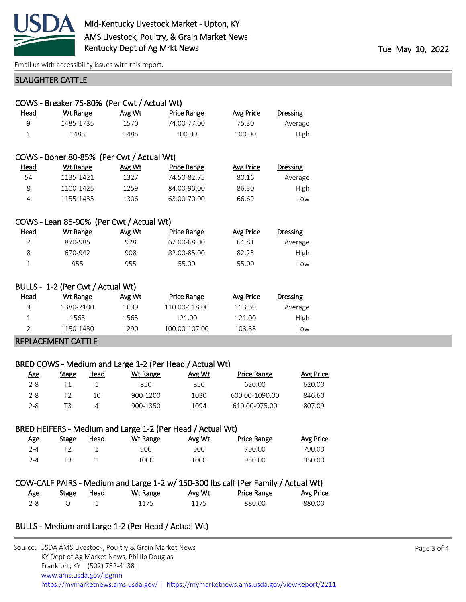

[Email us with accessibility issues with this report.](mailto:mars@ams.usda.gov?subject=508%20issue)

#### SLAUGHTER CATTLE

|                           | COWS - Breaker 75-80% (Per Cwt / Actual Wt) |        |                    |                  |                 |  |  |
|---------------------------|---------------------------------------------|--------|--------------------|------------------|-----------------|--|--|
| Head                      | <b>Wt Range</b>                             | Avg Wt | <b>Price Range</b> | <b>Avg Price</b> | <b>Dressing</b> |  |  |
| 9                         | 1485-1735                                   | 1570   | 74.00-77.00        | 75.30            | Average         |  |  |
| $\mathbf{1}$              | 1485                                        | 1485   | 100.00             | 100.00           | High            |  |  |
|                           |                                             |        |                    |                  |                 |  |  |
|                           | COWS - Boner 80-85% (Per Cwt / Actual Wt)   |        |                    |                  |                 |  |  |
| Head                      | Wt Range                                    | Avg Wt | <b>Price Range</b> | Avg Price        | <b>Dressing</b> |  |  |
| 54                        | 1135-1421                                   | 1327   | 74.50-82.75        | 80.16            | Average         |  |  |
| 8                         | 1100-1425                                   | 1259   | 84.00-90.00        | 86.30            | High            |  |  |
| $\overline{4}$            | 1155-1435                                   | 1306   | 63.00-70.00        | 66.69            | Low             |  |  |
|                           |                                             |        |                    |                  |                 |  |  |
|                           | COWS - Lean 85-90% (Per Cwt / Actual Wt)    |        |                    |                  |                 |  |  |
| Head                      | <b>Wt Range</b>                             | Avg Wt | <b>Price Range</b> | <b>Avg Price</b> | <b>Dressing</b> |  |  |
| $\overline{2}$            | 870-985                                     | 928    | 62.00-68.00        | 64.81            | Average         |  |  |
| 8                         | 670-942                                     | 908    | 82.00-85.00        | 82.28            | High            |  |  |
| $\mathbf{1}$              | 955                                         | 955    | 55.00              | 55.00            | Low             |  |  |
|                           |                                             |        |                    |                  |                 |  |  |
|                           | BULLS - 1-2 (Per Cwt / Actual Wt)           |        |                    |                  |                 |  |  |
| Head                      | <b>Wt Range</b>                             | Avg Wt | <b>Price Range</b> | <b>Avg Price</b> | <b>Dressing</b> |  |  |
| 9                         | 1380-2100                                   | 1699   | 110.00-118.00      | 113.69           | Average         |  |  |
| 1                         | 1565                                        | 1565   | 121.00             | 121.00           | High            |  |  |
| $\overline{2}$            | 1150-1430                                   | 1290   | 100.00-107.00      | 103.88           | Low             |  |  |
| <b>REPLACEMENT CATTLE</b> |                                             |        |                    |                  |                 |  |  |

#### BRED COWS - Medium and Large 1-2 (Per Head / Actual Wt)

| <u>Age</u> | Stage | Head | Wt Range | Avg Wt | <b>Price Range</b> | <b>Avg Price</b> |
|------------|-------|------|----------|--------|--------------------|------------------|
| 2-8        |       |      | 850      | 850    | 620.00             | 620.00           |
| 2-8        |       | 10   | 900-1200 | 1030   | 600.00-1090.00     | 846.60           |
| 2-8        |       | 4    | 900-1350 | 1094   | 610.00-975.00      | 807.09           |

## BRED HEIFERS - Medium and Large 1-2 (Per Head / Actual Wt)

| <u>Age</u> | Stage | Head | Wt Range | Avg Wt | <b>Price Range</b> | Avg Price |
|------------|-------|------|----------|--------|--------------------|-----------|
| 7-4        |       |      | 900      | 900    | 790.00             | 790.00    |
| 2−4        |       |      | 1000     | 1000   | 950.00             | 950.00    |

#### COW-CALF PAIRS - Medium and Large 1-2 w/ 150-300 lbs calf (Per Family / Actual Wt) Age Stage Head Wt Range Avg Wt Price Range Avg Price

| _____<br>__          | _______<br>$\sim$ $\sim$ |      |      |                   |                                         |
|----------------------|--------------------------|------|------|-------------------|-----------------------------------------|
| $\sim$ $\sim$<br>2-0 |                          | ---- | ---- | 28<br>K<br>------ | $\Omega$<br>.00<br>$\vee$ $\vee$ i<br>. |

#### BULLS - Medium and Large 1-2 (Per Head / Actual Wt)

| Source: USDA AMS Livestock, Poultry & Grain Market News                                |
|----------------------------------------------------------------------------------------|
| KY Dept of Ag Market News, Phillip Douglas                                             |
| Frankfort, KY   (502) 782-4138                                                         |
| www.ams.usda.gov/lpgmn                                                                 |
| https://mymarketnews.ams.usda.gov/   https://mymarketnews.ams.usda.gov/viewReport/2211 |